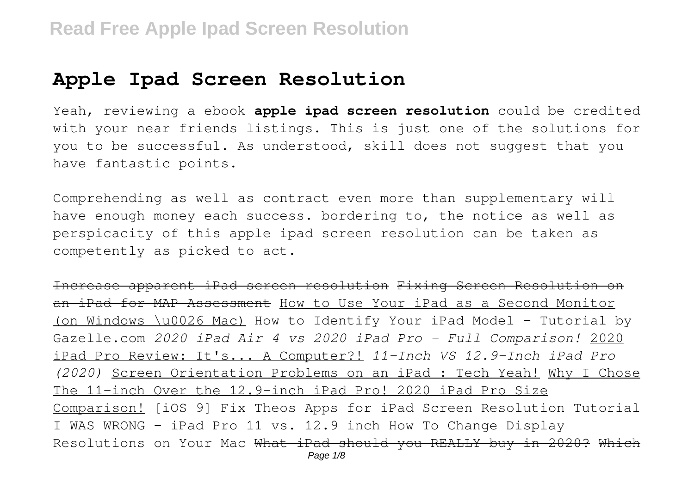## **Apple Ipad Screen Resolution**

Yeah, reviewing a ebook **apple ipad screen resolution** could be credited with your near friends listings. This is just one of the solutions for you to be successful. As understood, skill does not suggest that you have fantastic points.

Comprehending as well as contract even more than supplementary will have enough money each success. bordering to, the notice as well as perspicacity of this apple ipad screen resolution can be taken as competently as picked to act.

Increase apparent iPad screen resolution Fixing Screen Resolution on an iPad for MAP Assessment How to Use Your iPad as a Second Monitor (on Windows \u0026 Mac) How to Identify Your iPad Model - Tutorial by Gazelle.com *2020 iPad Air 4 vs 2020 iPad Pro - Full Comparison!* 2020 iPad Pro Review: It's... A Computer?! *11-Inch VS 12.9-Inch iPad Pro (2020)* Screen Orientation Problems on an iPad : Tech Yeah! Why I Chose The 11-inch Over the 12.9-inch iPad Pro! 2020 iPad Pro Size Comparison! [iOS 9] Fix Theos Apps for iPad Screen Resolution Tutorial I WAS WRONG - iPad Pro 11 vs. 12.9 inch How To Change Display Resolutions on Your Mac What iPad should you REALLY buy in 2020? Which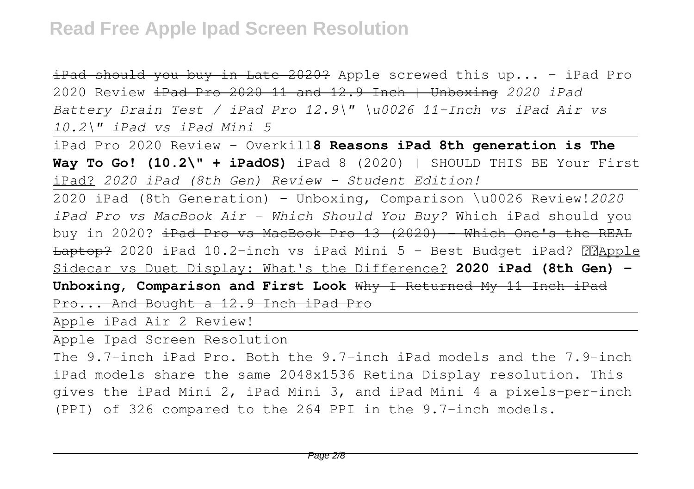iPad should you buy in Late 2020? Apple screwed this up... - iPad Pro 2020 Review iPad Pro 2020 11 and 12.9 Inch | Unboxing *2020 iPad Battery Drain Test / iPad Pro 12.9\" \u0026 11-Inch vs iPad Air vs 10.2\" iPad vs iPad Mini 5*

iPad Pro 2020 Review - Overkill**8 Reasons iPad 8th generation is The Way To Go! (10.2\" + iPadOS)** iPad 8 (2020) | SHOULD THIS BE Your First iPad? *2020 iPad (8th Gen) Review - Student Edition!*

2020 iPad (8th Generation) - Unboxing, Comparison \u0026 Review!*2020 iPad Pro vs MacBook Air - Which Should You Buy?* Which iPad should you buy in 2020?  $\pm$ Pad Pro vs MacBook Pro 13 (2020) - Which One's the REAL  $L$ aptop? 2020 iPad 10.2-inch vs iPad Mini 5 - Best Budget iPad?  $\mathbb{R}$ Apple Sidecar vs Duet Display: What's the Difference? **2020 iPad (8th Gen) - Unboxing, Comparison and First Look** Why I Returned My 11 Inch iPad Pro... And Bought a 12.9 Inch iPad Pro

Apple iPad Air 2 Review!

Apple Ipad Screen Resolution

The 9.7-inch iPad Pro. Both the 9.7-inch iPad models and the 7.9-inch iPad models share the same 2048x1536 Retina Display resolution. This gives the iPad Mini 2, iPad Mini 3, and iPad Mini 4 a pixels-per-inch (PPI) of 326 compared to the 264 PPI in the 9.7-inch models.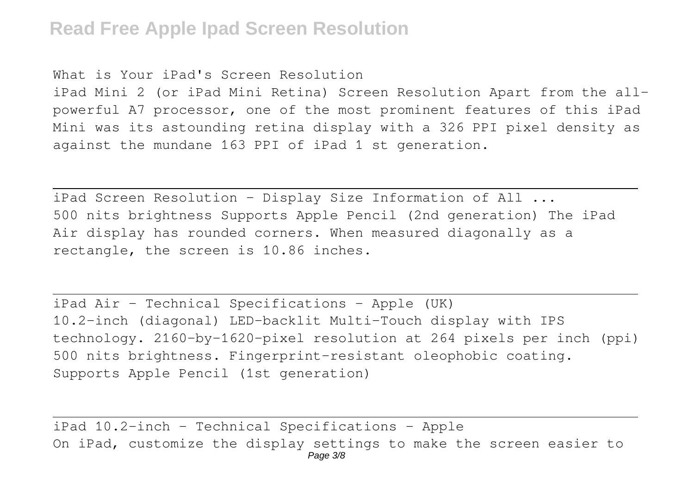## **Read Free Apple Ipad Screen Resolution**

What is Your iPad's Screen Resolution

iPad Mini 2 (or iPad Mini Retina) Screen Resolution Apart from the allpowerful A7 processor, one of the most prominent features of this iPad Mini was its astounding retina display with a 326 PPI pixel density as against the mundane 163 PPI of iPad 1 st generation.

iPad Screen Resolution - Display Size Information of All ... 500 nits brightness Supports Apple Pencil (2nd generation) The iPad Air display has rounded corners. When measured diagonally as a rectangle, the screen is 10.86 inches.

iPad Air - Technical Specifications - Apple (UK) 10.2-inch (diagonal) LED-backlit Multi-Touch display with IPS technology. 2160-by-1620-pixel resolution at 264 pixels per inch (ppi) 500 nits brightness. Fingerprint-resistant oleophobic coating. Supports Apple Pencil (1st generation)

iPad 10.2-inch - Technical Specifications - Apple On iPad, customize the display settings to make the screen easier to Page 3/8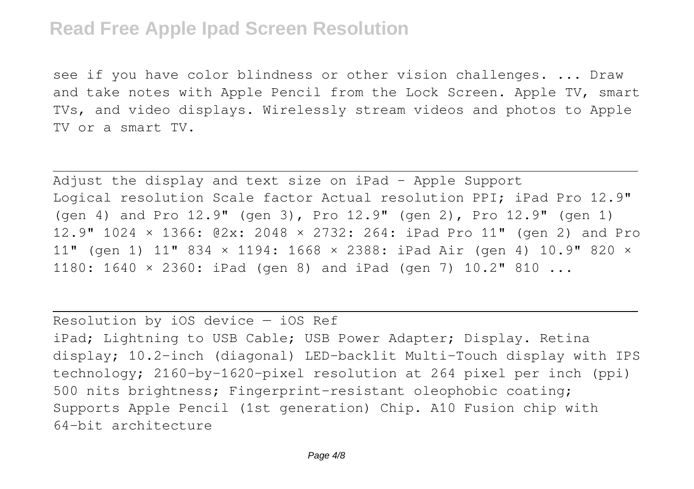## **Read Free Apple Ipad Screen Resolution**

see if you have color blindness or other vision challenges. ... Draw and take notes with Apple Pencil from the Lock Screen. Apple TV, smart TVs, and video displays. Wirelessly stream videos and photos to Apple TV or a smart TV.

Adjust the display and text size on iPad - Apple Support Logical resolution Scale factor Actual resolution PPI; iPad Pro 12.9" (gen 4) and Pro 12.9" (gen 3), Pro 12.9" (gen 2), Pro 12.9" (gen 1) 12.9" 1024 × 1366: @2x: 2048 × 2732: 264: iPad Pro 11" (gen 2) and Pro 11" (gen 1) 11" 834 × 1194: 1668 × 2388: iPad Air (gen 4) 10.9" 820 × 1180: 1640 × 2360: iPad (gen 8) and iPad (gen 7) 10.2" 810 ...

Resolution by iOS device — iOS Ref

iPad; Lightning to USB Cable; USB Power Adapter; Display. Retina display; 10.2-inch (diagonal) LED-backlit Multi-Touch display with IPS technology; 2160-by-1620-pixel resolution at 264 pixel per inch (ppi) 500 nits brightness; Fingerprint-resistant oleophobic coating; Supports Apple Pencil (1st generation) Chip. A10 Fusion chip with 64-bit architecture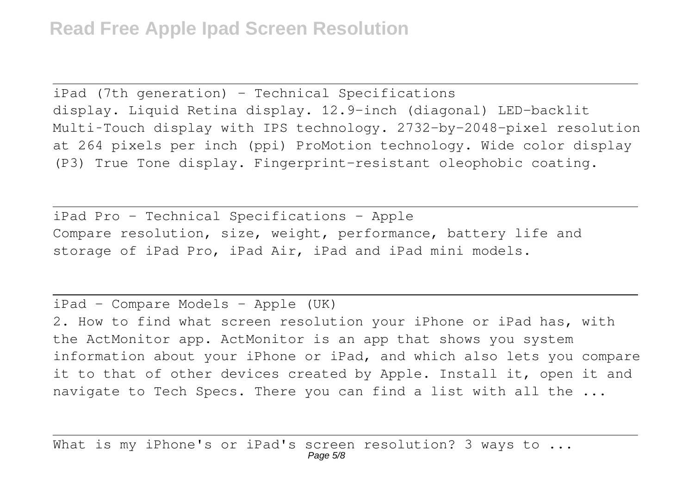iPad (7th generation) - Technical Specifications display. Liquid Retina display. 12.9-inch (diagonal) LED-backlit Multi‑Touch display with IPS technology. 2732-by-2048-pixel resolution at 264 pixels per inch (ppi) ProMotion technology. Wide color display (P3) True Tone display. Fingerprint-resistant oleophobic coating.

iPad Pro - Technical Specifications - Apple Compare resolution, size, weight, performance, battery life and storage of iPad Pro, iPad Air, iPad and iPad mini models.

iPad - Compare Models - Apple (UK) 2. How to find what screen resolution your iPhone or iPad has, with the ActMonitor app. ActMonitor is an app that shows you system information about your iPhone or iPad, and which also lets you compare it to that of other devices created by Apple. Install it, open it and navigate to Tech Specs. There you can find a list with all the ...

What is my iPhone's or iPad's screen resolution? 3 ways to ... Page 5/8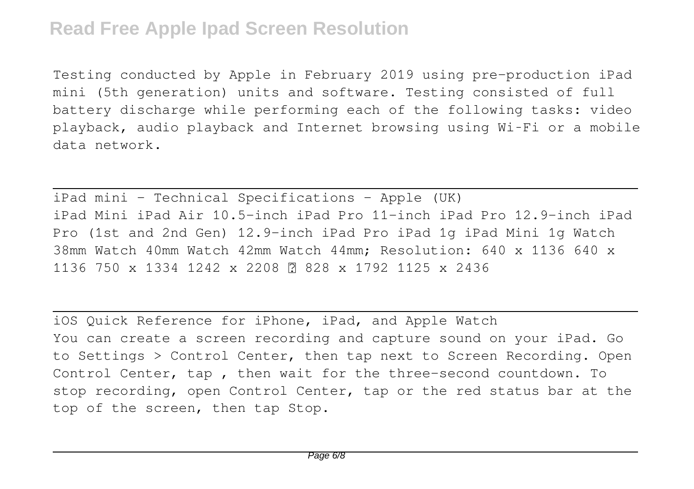Testing conducted by Apple in February 2019 using pre-production iPad mini (5th generation) units and software. Testing consisted of full battery discharge while performing each of the following tasks: video playback, audio playback and Internet browsing using Wi‑Fi or a mobile data network.

iPad mini - Technical Specifications - Apple (UK) iPad Mini iPad Air 10.5-inch iPad Pro 11-inch iPad Pro 12.9-inch iPad Pro (1st and 2nd Gen) 12.9-inch iPad Pro iPad 1g iPad Mini 1g Watch 38mm Watch 40mm Watch 42mm Watch 44mm; Resolution: 640 x 1136 640 x 1136 750 x 1334 1242 x 2208 ⓘ 828 x 1792 1125 x 2436

iOS Quick Reference for iPhone, iPad, and Apple Watch You can create a screen recording and capture sound on your iPad. Go to Settings > Control Center, then tap next to Screen Recording. Open Control Center, tap , then wait for the three-second countdown. To stop recording, open Control Center, tap or the red status bar at the top of the screen, then tap Stop.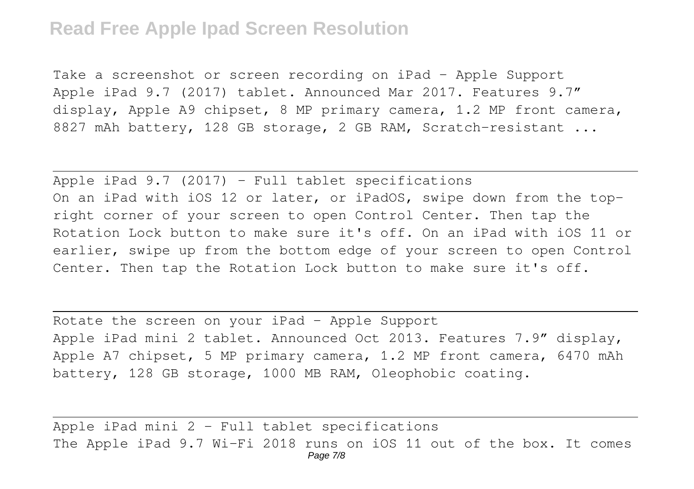## **Read Free Apple Ipad Screen Resolution**

Take a screenshot or screen recording on iPad - Apple Support Apple iPad 9.7 (2017) tablet. Announced Mar 2017. Features 9.7″ display, Apple A9 chipset, 8 MP primary camera, 1.2 MP front camera, 8827 mAh battery, 128 GB storage, 2 GB RAM, Scratch-resistant ...

Apple iPad  $9.7$  (2017) - Full tablet specifications On an iPad with iOS 12 or later, or iPadOS, swipe down from the topright corner of your screen to open Control Center. Then tap the Rotation Lock button to make sure it's off. On an iPad with iOS 11 or earlier, swipe up from the bottom edge of your screen to open Control Center. Then tap the Rotation Lock button to make sure it's off.

Rotate the screen on your iPad - Apple Support Apple iPad mini 2 tablet. Announced Oct 2013. Features 7.9″ display, Apple A7 chipset, 5 MP primary camera, 1.2 MP front camera, 6470 mAh battery, 128 GB storage, 1000 MB RAM, Oleophobic coating.

Apple iPad mini 2 - Full tablet specifications The Apple iPad 9.7 Wi-Fi 2018 runs on iOS 11 out of the box. It comes Page 7/8